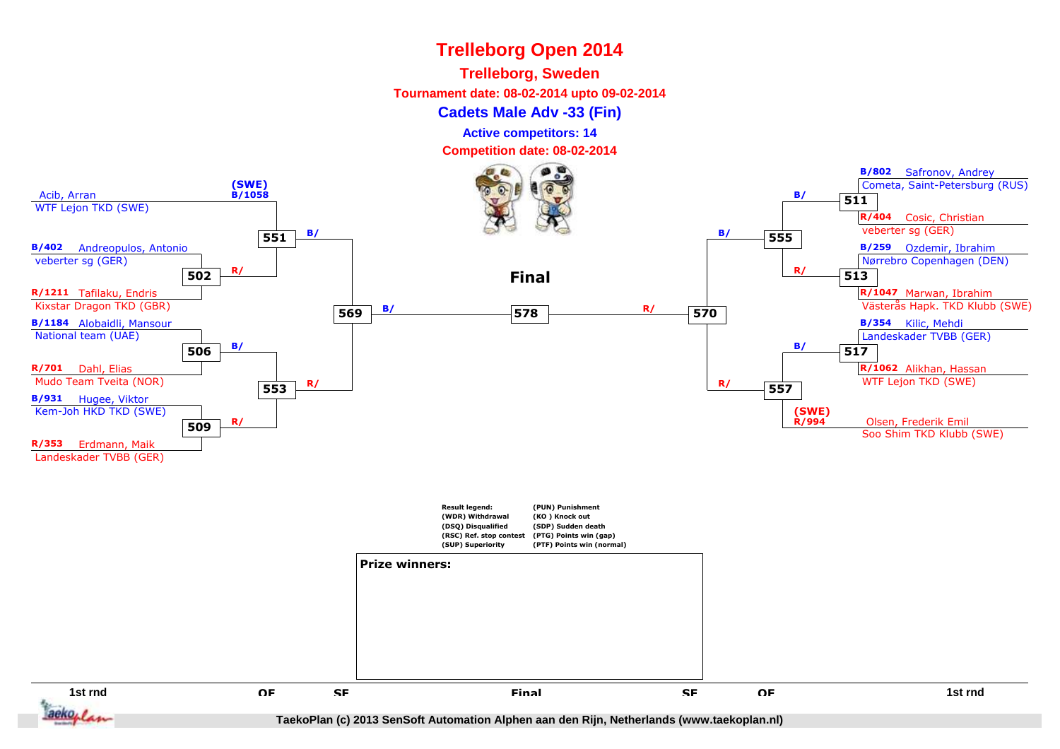## **Trelleborg, Sweden**

**Tournament date: 08-02-2014 upto 09-02-2014**

#### **Cadets Male Adv -33 (Fin)**

**Active competitors: 14**

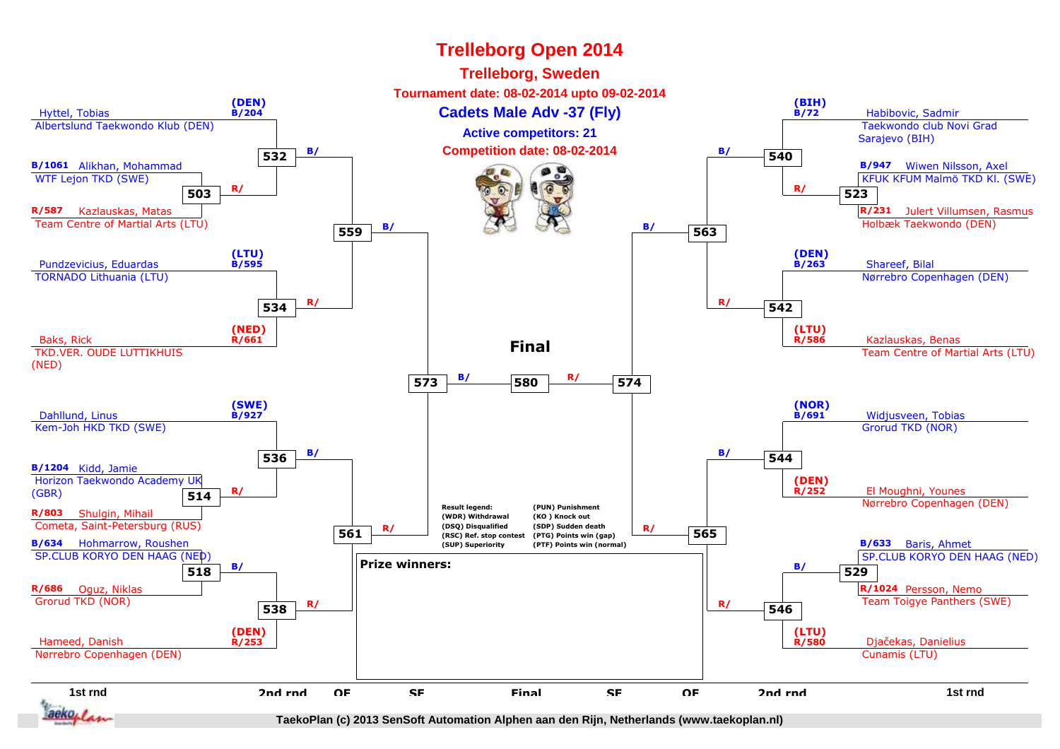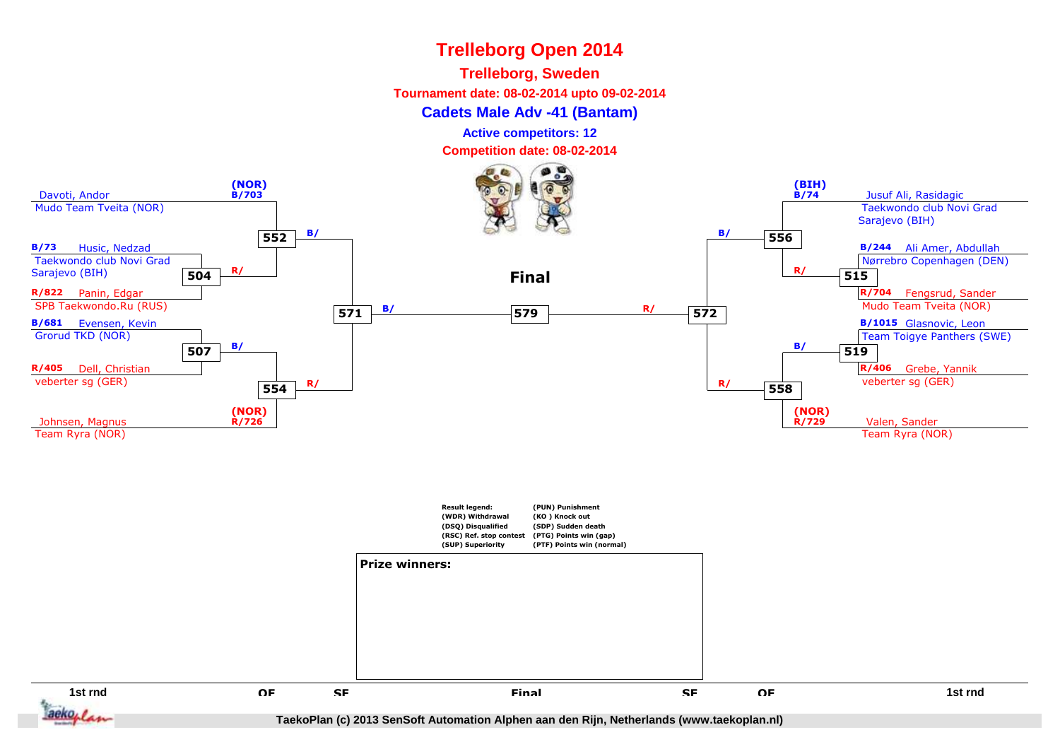## **Trelleborg, Sweden**

**Tournament date: 08-02-2014 upto 09-02-2014**

#### **Cadets Male Adv -41 (Bantam)**

**Active competitors: 12**

**Competition date: 08-02-2014**



**1st rnd**d a contract of the set of the set of the set of the set of the set of the set of the set of the set of the set of the set of the set of the set of the set of the set of the set of the set of the set of the set of the set aeko. I

**QF**

**SF**

**TaekoPlan (c) 2013 SenSoft Automation Alphen aan den Rijn, Netherlands (www.taekoplan.nl)**

F SF Final SF OF

**Final**

**SF**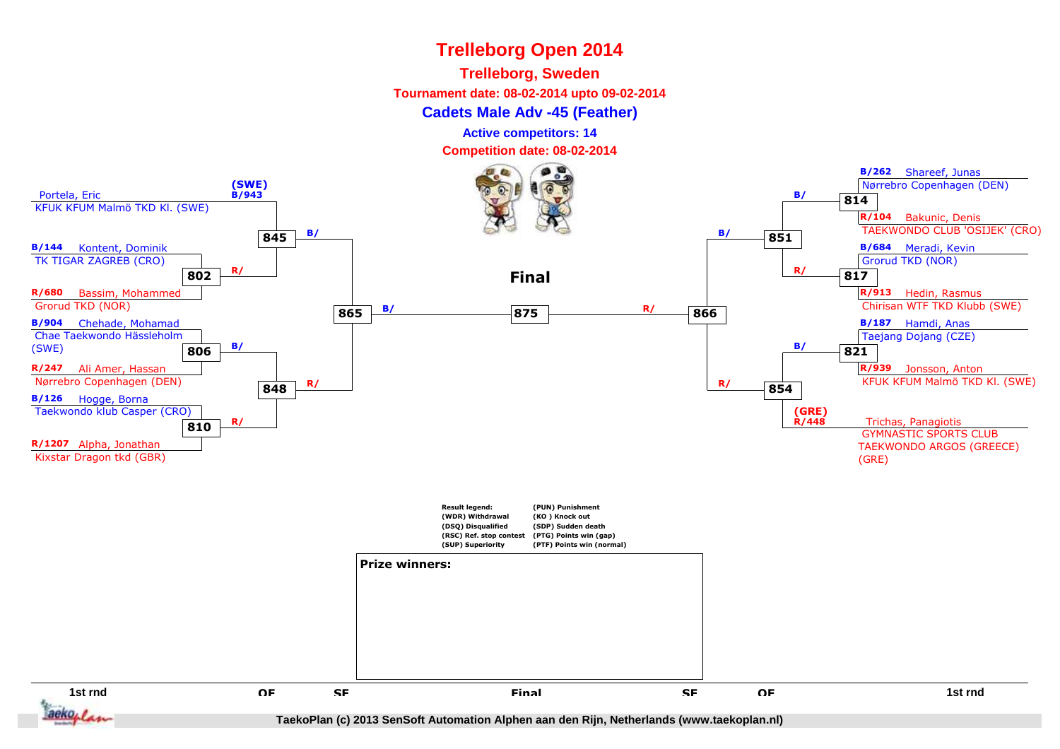## **Trelleborg, Sweden**

**Tournament date: 08-02-2014 upto 09-02-2014**

#### **Cadets Male Adv -45 (Feather)**

**Active competitors: 14**

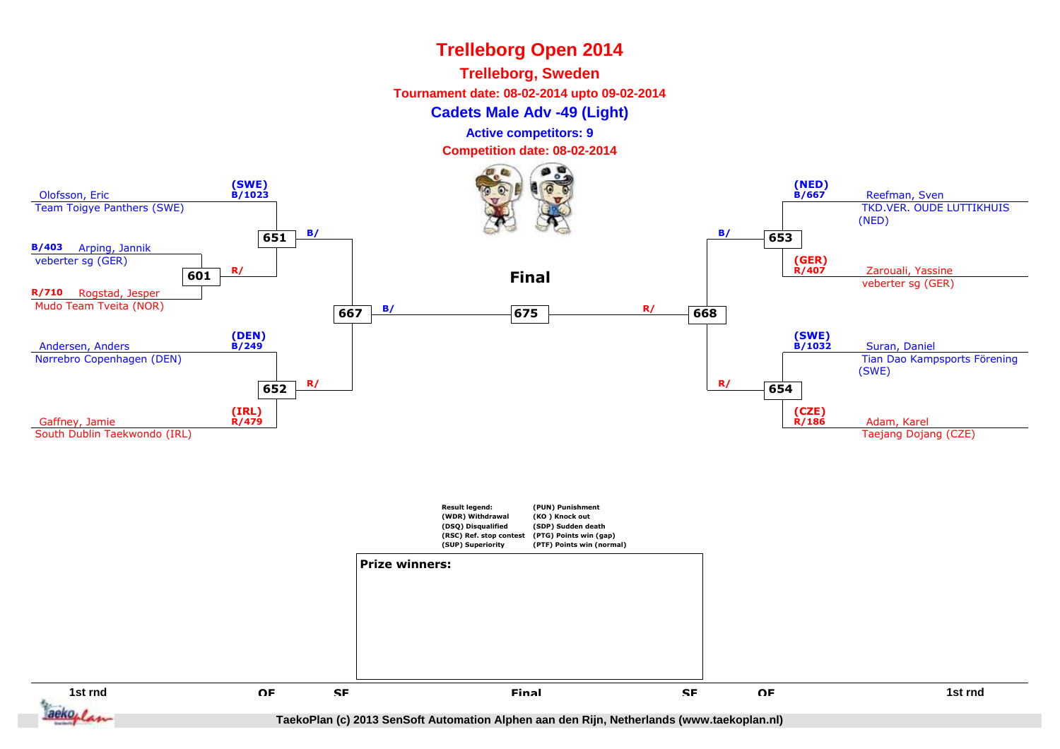#### **Trelleborg, Sweden**

**Tournament date: 08-02-2014 upto 09-02-2014**

**Cadets Male Adv -49 (Light)**

**Active competitors: 9**

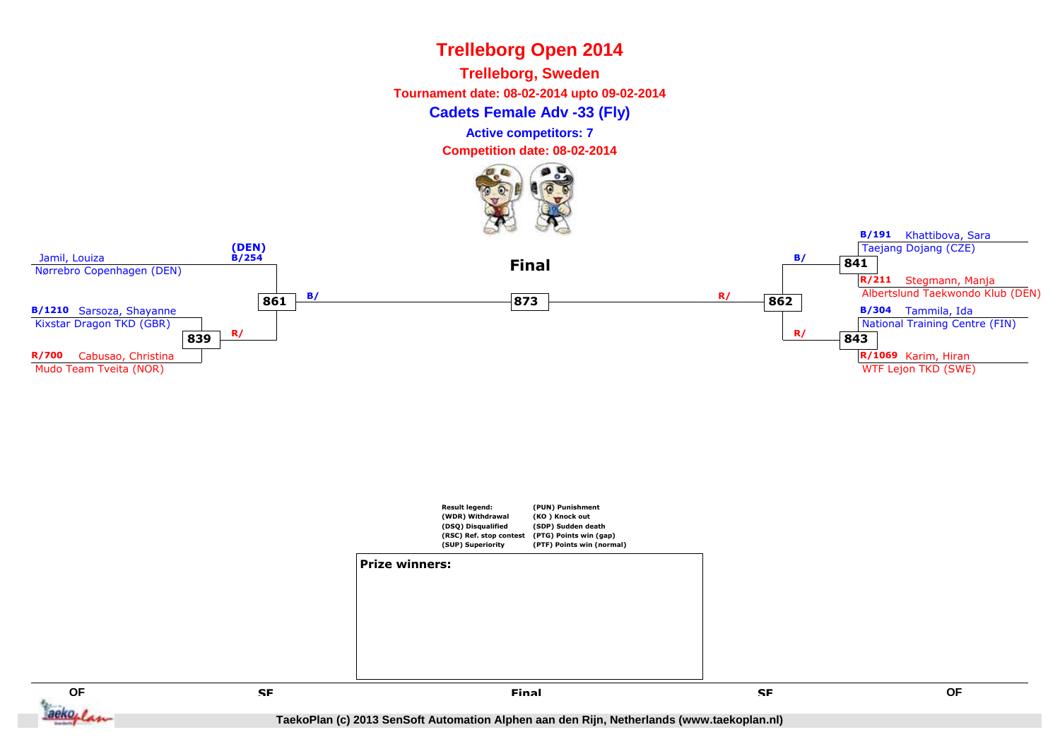



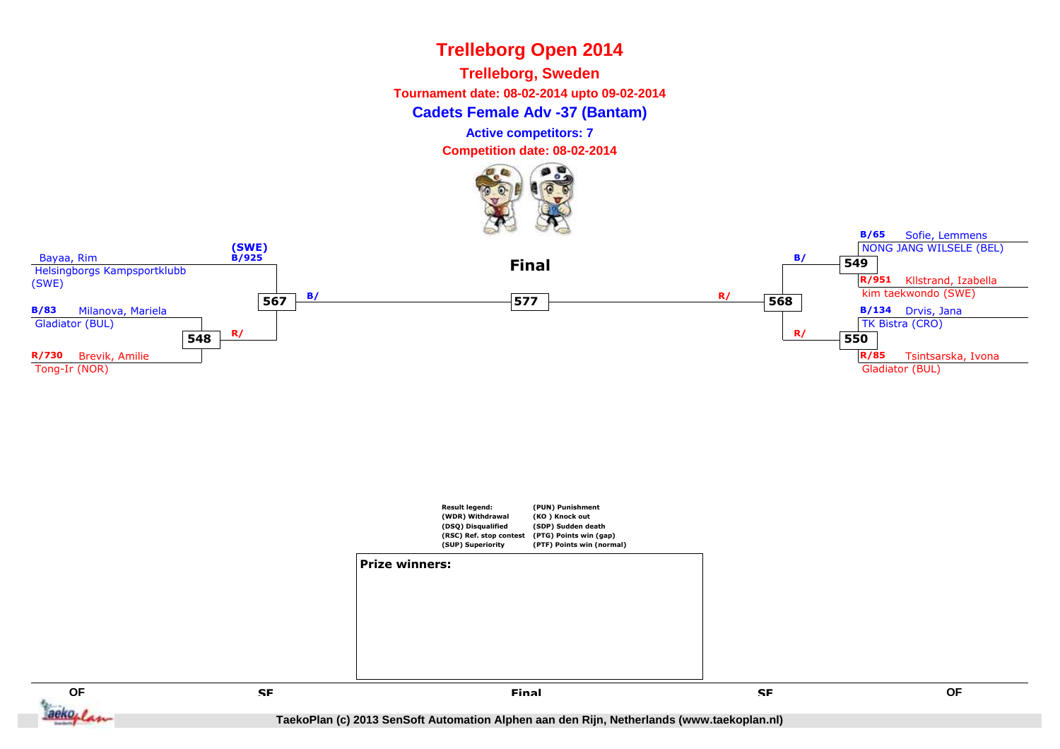

**Trelleborg, Sweden**

**Tournament date: 08-02-2014 upto 09-02-2014**

**Cadets Female Adv -37 (Bantam)**

**Active competitors: 7**

**Competition date: 08-02-2014**



**Result legend: (WDR) Withdrawal (DSQ) Disqualified (RSC) Ref. stop contest(SUP) Superiority(PUN) Punishment(KO ) Knock out (SDP) Sudden death (PTG) Points win (gap) (PTF) Points win (normal)Prize winners:**

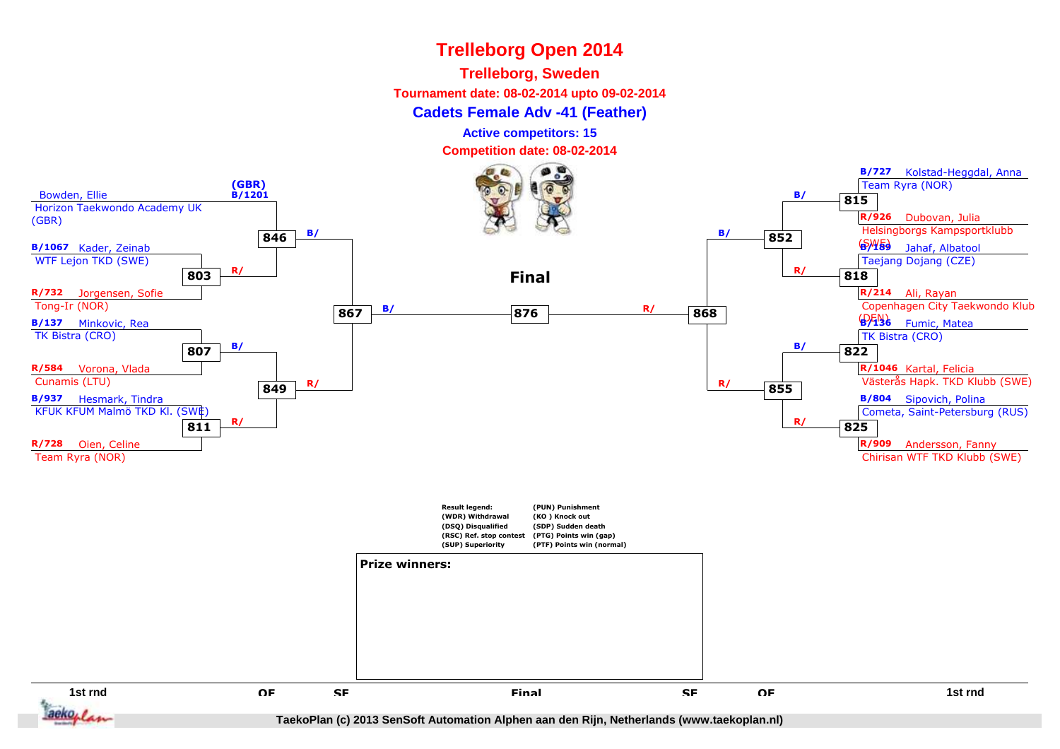## **Trelleborg, Sweden**

**Tournament date: 08-02-2014 upto 09-02-2014**

#### **Cadets Female Adv -41 (Feather)**

**Active competitors: 15**

**Competition date: 08-02-2014**

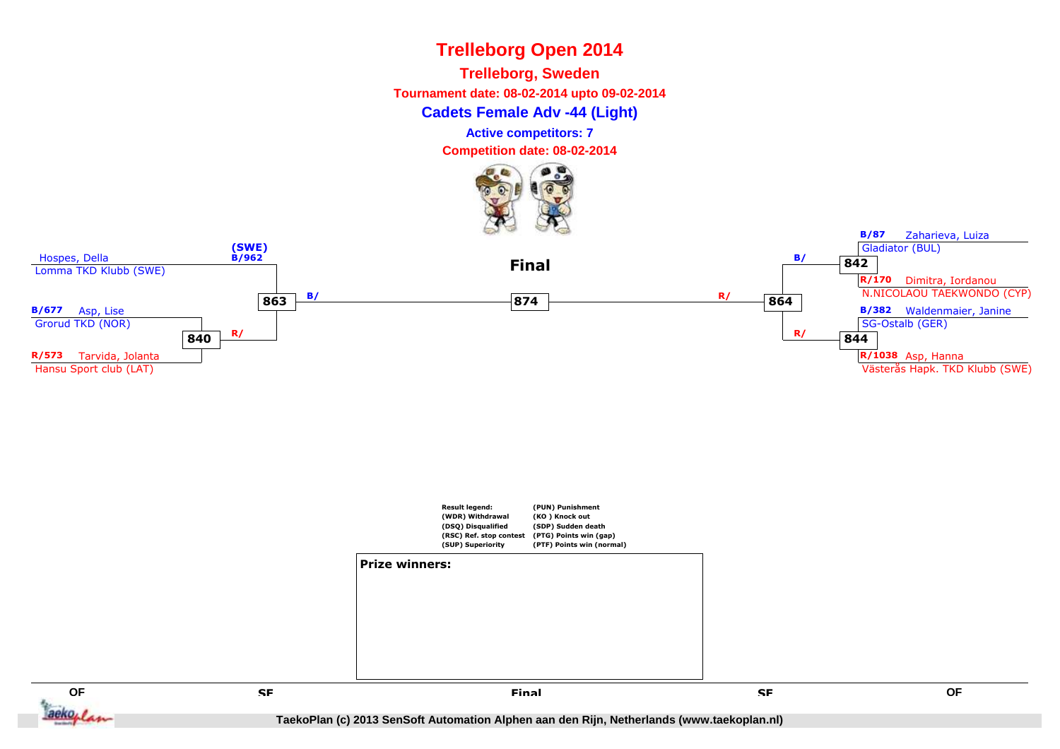





 **SF Final**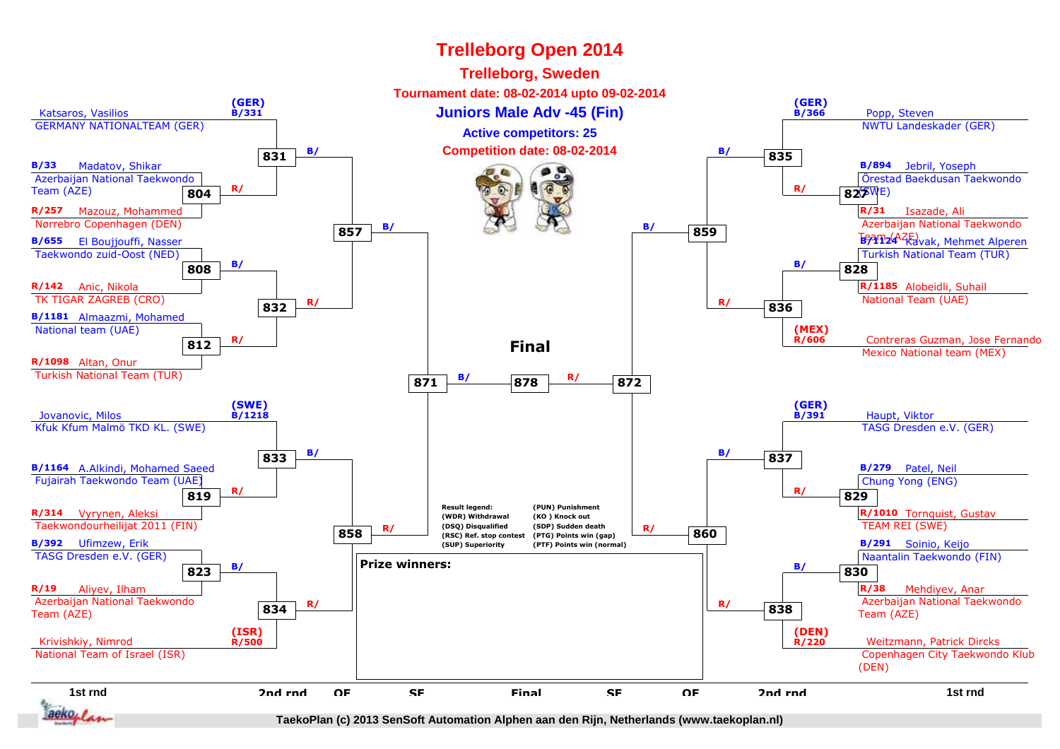#### **Trelleborg Open 2014Trelleborg, Sweden Tournament date: 08-02-2014 upto 09-02-2014(GER)(GER) B/366**Katsaros, Vasilios1 **Juniors Male Adv -45 (Fin)** By 366 Popp, Steven **B/331** GERMANY NATIONALTEAM (GER) NWTU Landeskader (GER)**Active competitors: 25 B/ <sup>835</sup> B/ Competition date: 08-02-2014 831** Madatov, Shikar **B/33B/894** Jebril, Yoseph Azerbaijan National Taekwondo Örestad Baekdusan Taekwondo **R/** Team (AZE)(SWE)**827 R/ 804R/31** Isazade, Ali **R/257** Mazouz, Mohammed Azerbaijan National Taekwondo Nørrebro Copenhagen (DEN) **B/ <sup>859</sup> B/ 857BAT24 Kavak, Mehmet Alperen B/655** El Boujjouffi, Nasser Taekwondo zuid-Oost (NED) Turkish National Team (TUR) **B/ 828 B/ 808R/142** Anic, Nikola**R/1185** Alobeidli, Suhail National Team (UAE) TK TIGAR ZAGREB (CRO) **R/ <sup>836</sup> R/ 832B/1181** Almaazmi, Mohamed National team (UAE)**(MEX)R/** Contreras Guzman, Jose Fernando (Regional team of the Mexico National team (MEX) and Mexico National team (MEX) **R/606812FinalR/1098** Altan, Onur Turkish National Team (TUR) **B/ <sup>872</sup> R/ <sup>878</sup> 871(SWE)(GER)**Jovanovic, Milos **B/1218** Haupt, Viktor **B/391** TASG Dresden e.V. (GER) Kfuk Kfum Malmö TKD KL. (SWE) **B/ <sup>837</sup> B/ 833B/1164** A.Alkindi, Mohamed Saeed**B/279** Patel, Neil Fujairah Taekwondo Team (UAE) Chung Yong (ENG)**819 R/ 829 R/ Result legend:(PUN) PunishmentR/314** Vyrynen, Aleksi **R/1010** Tornquist, Gustav **(WDR) Withdrawal(KO ) Knock out** Taekwondourheilijat 2011 (FIN) TEAM REI (SWE) **(DSQ) Disqualified (SDP) Sudden deathR/** (DSQ) Disqualitied (SDP) Sudden death<br>
(RSC) Ref. stop contest (PTG) Points win (gap)<br>
(SIIP) Suneriority (PTF) Points win (normal) **858 (RSC) Ref. stop contest (PTG) Points win (gap)B/392** Ufimzew, Erik**(SUP) SuperiorityB/291** Soinio, Keijo **(PTF) Points win (normal)** TASG Dresden e.V. (GER) Naantalin Taekwondo (FIN)**Prize winners: B/ 830 B/ 823R/19R/38** Aliyev, Ilham Mehdiyev, Anar Azerbaijan National Taekwondo Azerbaijan National Taekwondo **R/ <sup>838</sup> R/ 834**Team (AZE)Team (AZE)**(DEN)(ISR)**Krivishkiy, Nimrod Weitzmann, Patrick Dircks **R/500 R/220** Copenhagen City Taekwondo Klub National Team of Israel (ISR)(DEN)**1st rnd2nd rndQFSFFinal**d a that the off state of the set of the off the top of the term of the term of the term of the term of the term o<br>The term of the set of the term of the term of the term of the term of the set of the term of the term of t d OF SF Final SF OF 2nd rnd<br> **2nd rnd** F SF Final SF OF F Final SF аекол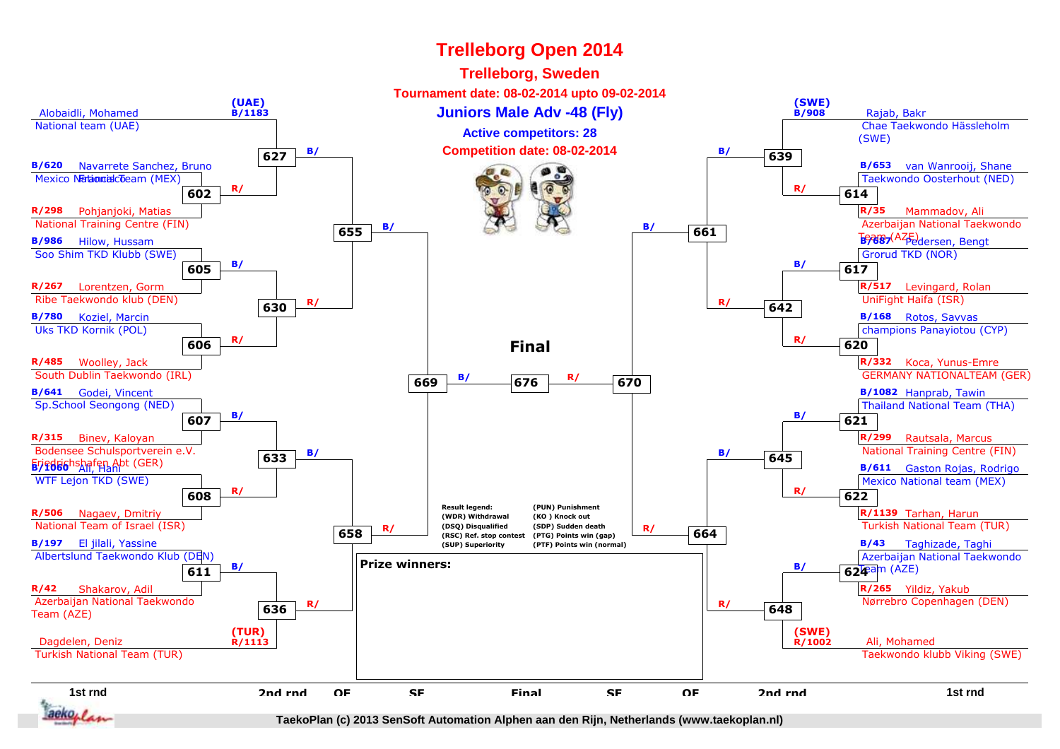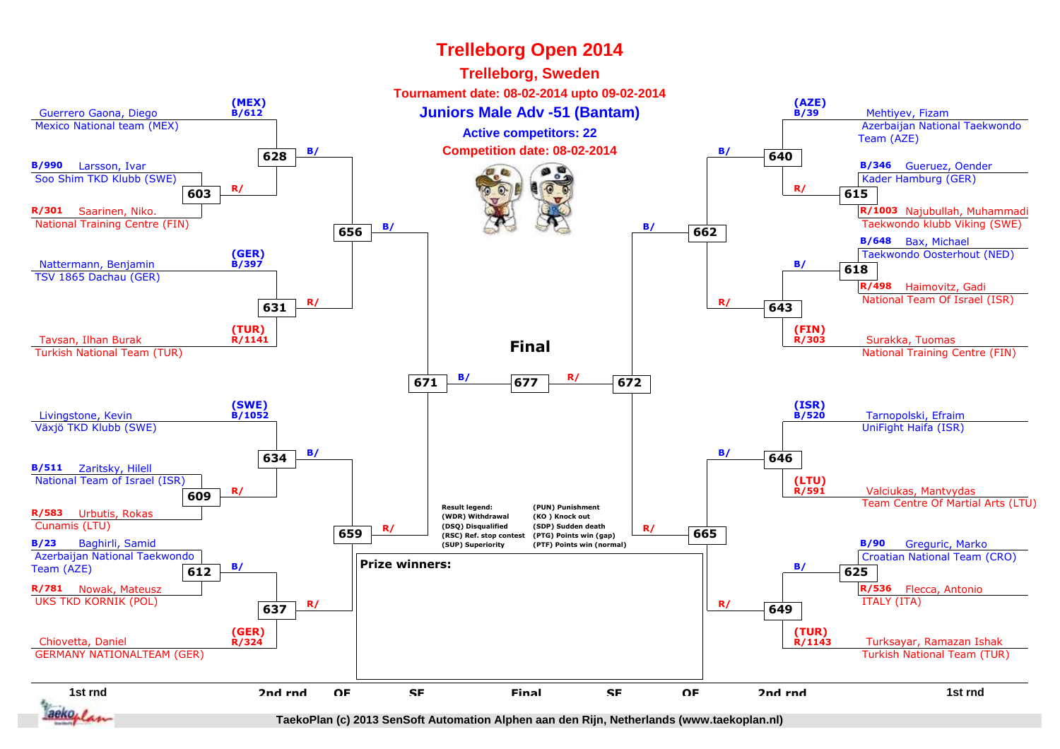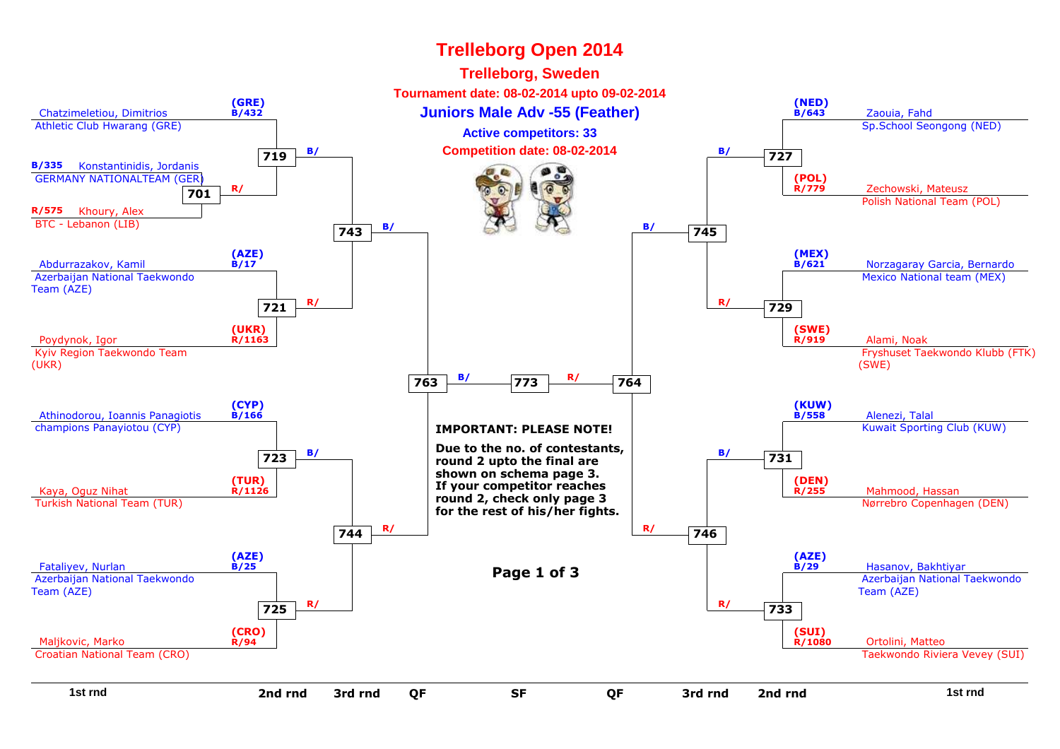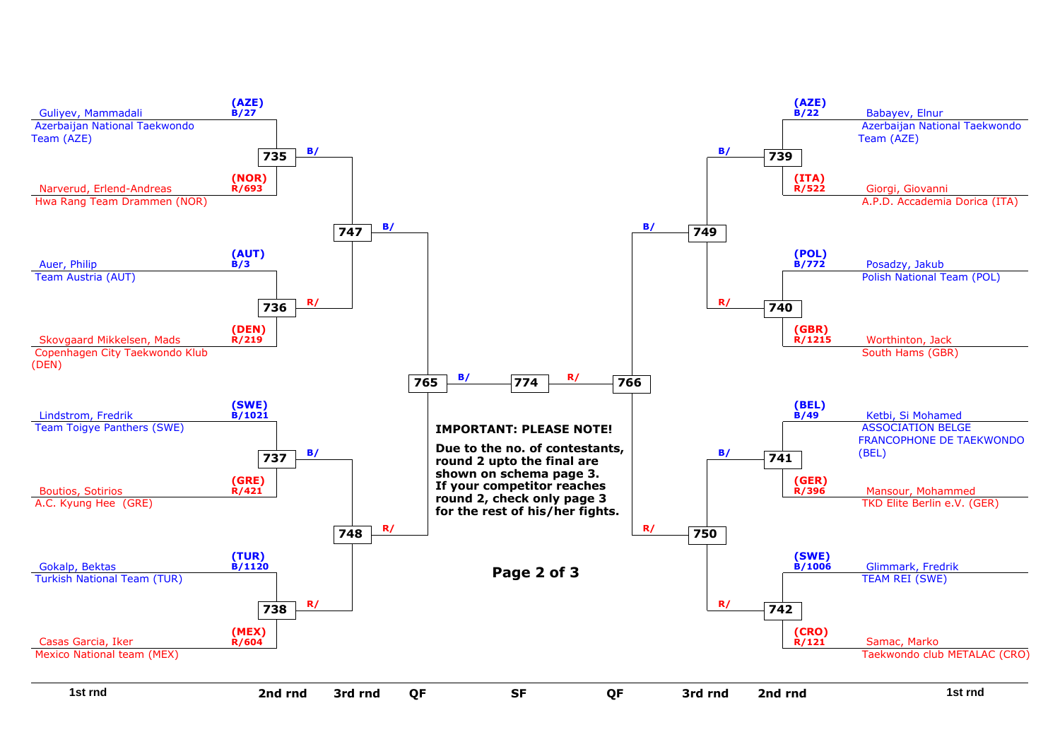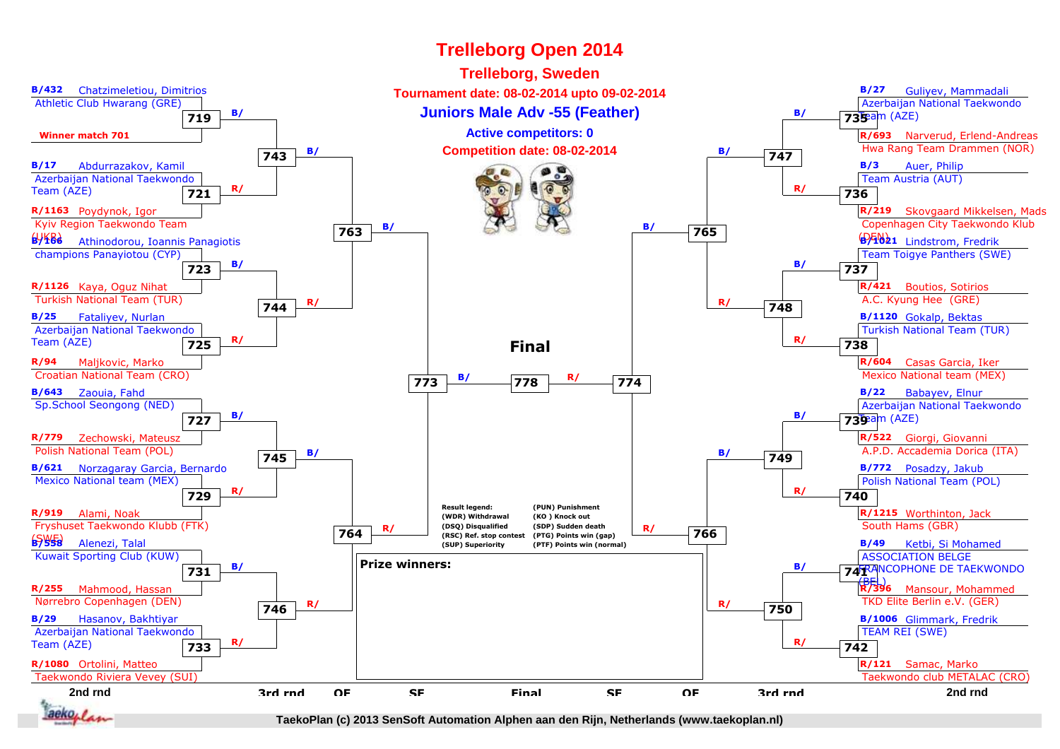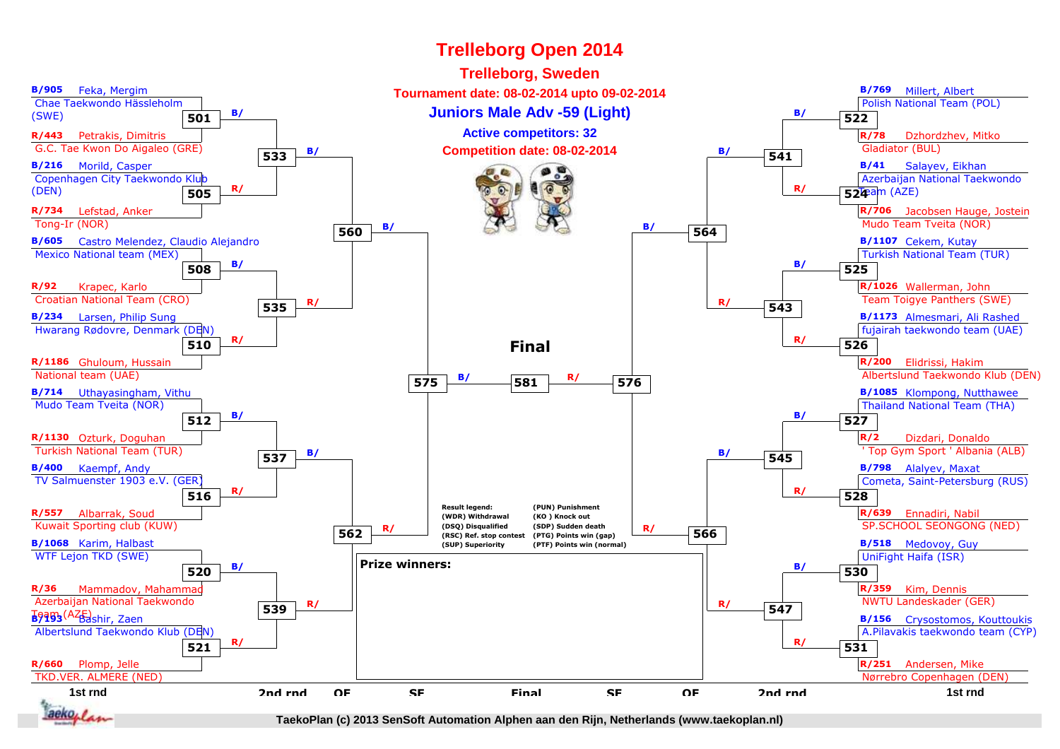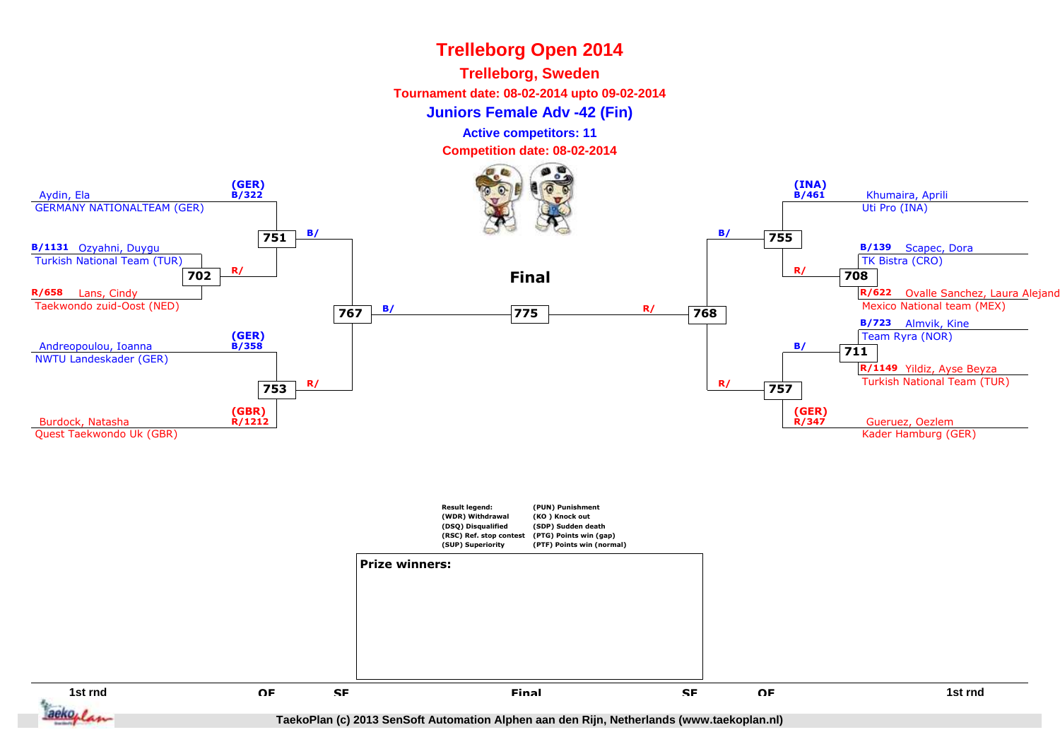#### **Trelleborg, Sweden**

**Tournament date: 08-02-2014 upto 09-02-2014**

**Juniors Female Adv -42 (Fin)**

**Active competitors: 11**

**Competition date: 08-02-2014**



aeko, i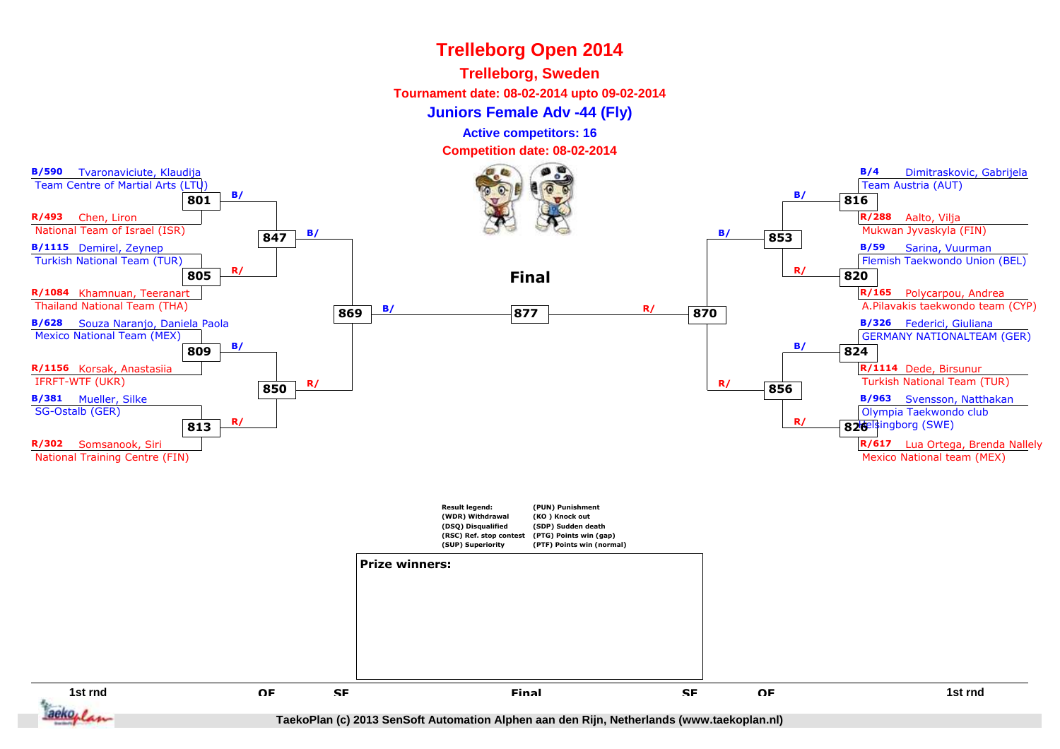#### **Trelleborg, Sweden**

**Tournament date: 08-02-2014 upto 09-02-2014**

**Juniors Female Adv -44 (Fly)**

**Active competitors: 16**

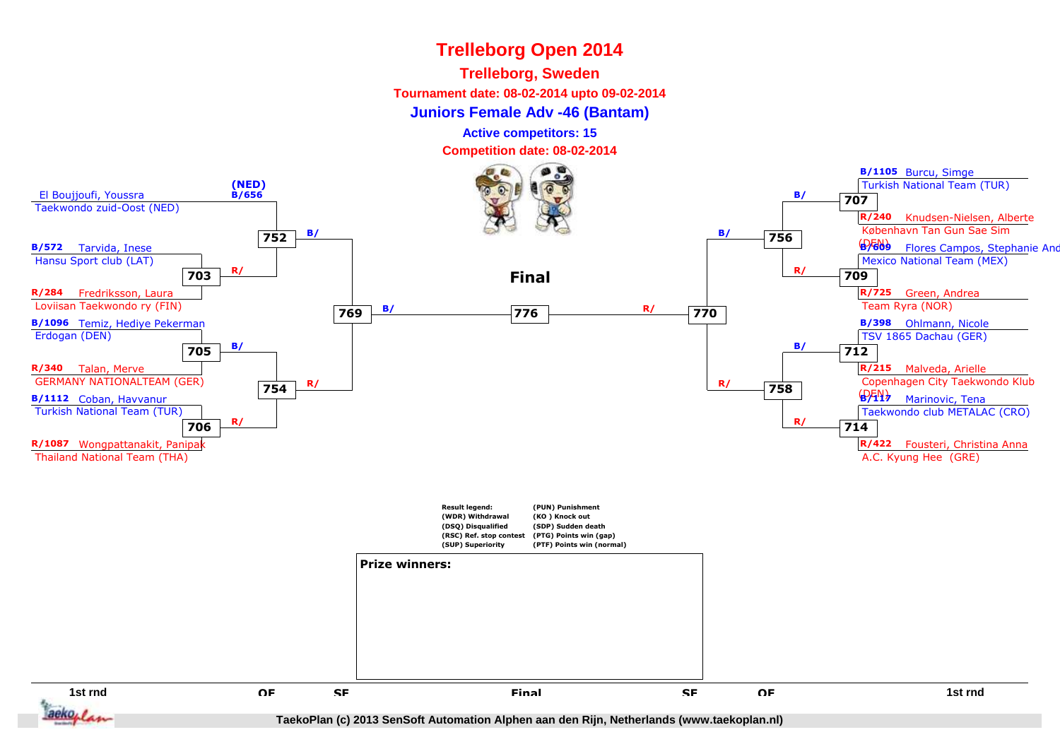## **Trelleborg, Sweden**

**Tournament date: 08-02-2014 upto 09-02-2014**

## **Juniors Female Adv -46 (Bantam)**

**Active competitors: 15**

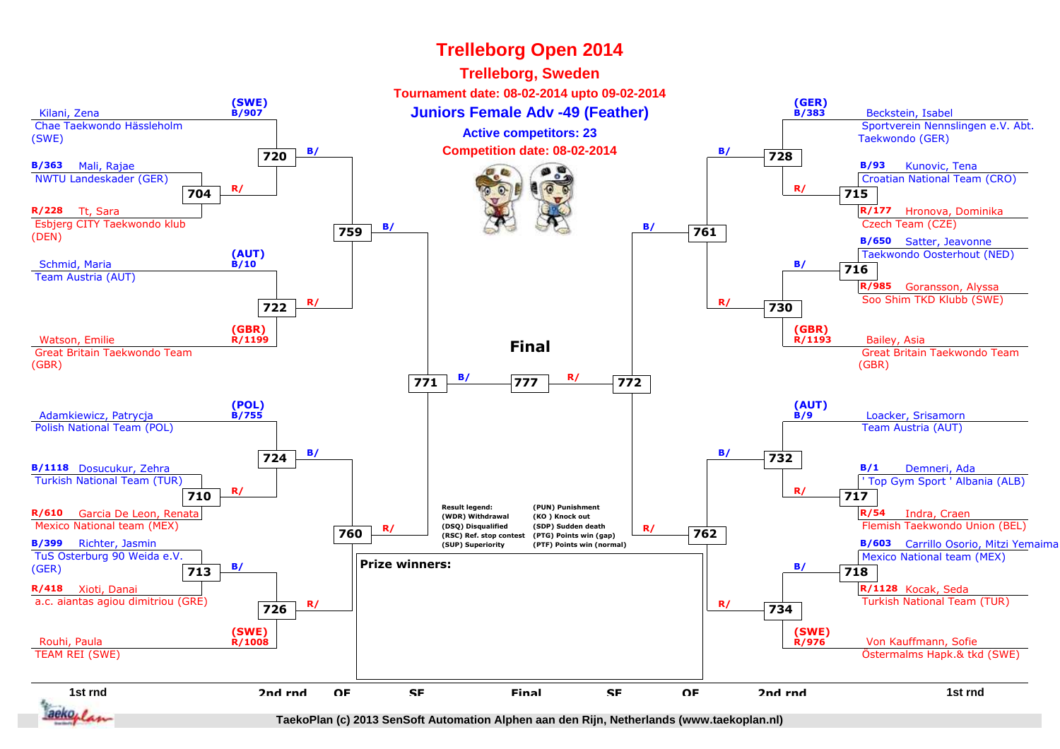#### **Trelleborg Open 2014Trelleborg, Sweden Tournament date: 08-02-2014 upto 09-02-2014(SWE) B/907(GER) B/383**Kilani, Zena**1 Juniors Female Adv -49 (Feather)** Bookstein, Isabel **Beckstein, Isabel**  Sportverein Nennslingen e.V. Abt. Chae Taekwondo Hässleholm**Active competitors: 23**(SWE)Taekwondo (GER)**B/ B/ Competition date: 08-02-2014 B/ B/ 728 720B/363** Mali, Rajae**B/93** Kunovic, Tena NWTU Landeskader (GER) Croatian National Team (CRO)**704 R/ 715 R/ R/228** Tt, Sara**R/177** Hronova, Dominika Czech Team (CZE) Esbjerg CITY Taekwondo klub**B**/ **B/ B/ 761 759**(DEN)**B/650** Satter, Jeavonne**(AUT)** Taekwondo Oosterhout (NED)Schmid, Maria**B/10716 B/** Team Austria (AUT)**R/985** Goransson, Alyssa Soo Shim TKD Klubb (SWE) **R/ <sup>730</sup> R/ 722(GBR)(GBR)**Watson, Emilie **R/1199**9 R/1193 Bailey, Asia **R/1193Final** Great Britain Taekwondo Team Great Britain Taekwondo Team(GBR)(GBR) **B/ <sup>772</sup> R/ <sup>777</sup> 771(POL)(AUT)**Adamkiewicz, Patrycja**B/9 B/755**<u>s and the set of the set of the set of the set of the set of the set of the set of the set of the set of the set of the set of the set of the set of the set of the set of the set of the set of the set of the set of the se</u> Polish National Team (POL) Team Austria (AUT) **B/ <sup>732</sup> B/ 724B/1** Demneri, Ada**B/1118** Dosucukur, Zehra Turkish National Team (TUR) ' Top Gym Sport ' Albania (ALB)**710 R/ 717 R/ Result legend:(PUN) PunishmentR/610** Garcia De Leon, Renata**R/54** Indra, Craen **(WDR) Withdrawal(KO ) Knock out** Mexico National team (MEX) **(DSQ) Disqualified (SDP) Sudden death** Flemish Taekwondo Union (BEL)**R/** (DSQ) Disqualitied (SDP) Sudden death<br>
(RSC) Ref. stop contest (PTG) Points win (gap)<br> **CODE CONTAGE (PTE) Points win (gap) 760 (RSC) Ref. stop contest (PTG) Points win (gap)B/399** Richter, Jasmin**(SUP) SuperiorityB/603** Carrillo Osorio, Mitzi Yemaima **(PTF) Points win (normal)** Mexico National team (MEX) TuS Osterburg 90 Weida e.V.**Prize winners:**(GER)**713 B/ 718 B/ R/418** Xioti, Danai **R/1128** Kocak, Seda a.c. aiantas agiou dimitriou (GRE) Turkish National Team (TUR) **R/ <sup>734</sup> R/ 726(SWE)(SWE)**Rouhi, Paula Von Kauffmann, Sofie **R/1008 R/976** Östermalms Hapk.& tkd (SWE) TEAM REI (SWE)**1st rnd2nd rndQFSFFinal**d a that the off state of the set of the off the top of the term of the term of the term of the term of the term o<br>The term of the set of the term of the term of the term of the term of the set of the term of the term of t d OF SF Final SF OF 2nd rnd<br> **2nd rnd** F SF Final SF OF F Final SF аекол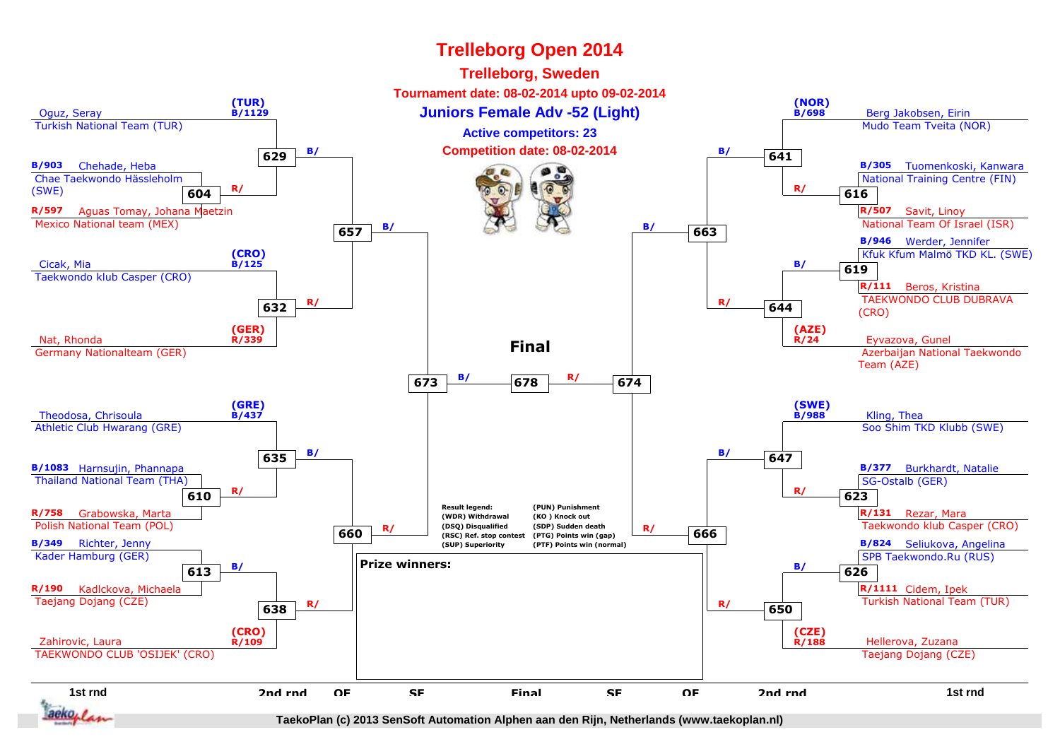#### **1st rnd**d a that the off state of the set of the off the top of the term of the term of the term of the term of the term o<br>The term of the set of the term of the term of the term of the term of the set of the term of the term of t Oguz, Seray Turkish National Team (TUR)**(TUR) B/1129Brook Sumiors Female Adv -52 (Light)** And Allen and Allen and Berg Jakobsen, Eirin Mudo Team Tveita (NOR)**(NOR) B/698B/903** Chehade, Heba Chae Taekwondo Hässleholm(SWE)**R/597** Aguas Tomay, Johana Maetzin Mexico National team (MEX)**604 R/ B/305** Tuomenkoski, Kanwara National Training Centre (FIN)**R/507** Savit, Linoy National Team Of Israel (ISR)**616 R/** Cicak, Mia Taekwondo klub Casper (CRO)**(CRO) B/125B/946** Werder, Jennifer Kfuk Kfum Malmö TKD KL. (SWE)**R/111** Beros, Kristina TAEKWONDO CLUB DUBRAVA(CRO)**619 B/** Nat, Rhonda Germany Nationalteam (GER)**(GER) R/339**9 R/24 Eyvazova, Gunel Azerbaijan National TaekwondoTeam (AZE)**(AZE)R/24**Theodosa, Chrisoula Athletic Club Hwarang (GRE)**(GRE) B/437**<u>starting, Thead and the starting of the starting of the starting of the starting of the starting of the starting of the starting of the starting of the starting of the starting of the starting of the starting of the start</u> Soo Shim TKD Klubb (SWE)**(SWE) B/988B/1083** Harnsujin, Phannapa Thailand National Team (THA)**R/758** Grabowska, Marta Polish National Team (POL)**610 R/ B/377** Burkhardt, Natalie SG-Ostalb (GER)**R/131** Rezar, Mara Taekwondo klub Casper (CRO)**623 R/ B/349** Richter, Jenny Kader Hamburg (GER)**R/190** Kadlckova, Michaela Taejang Dojang (CZE)**613 B/ B/824** Seliukova, Angelina SPB Taekwondo.Ru (RUS)**R/1111** Cidem, Ipek Turkish National Team (TUR)**626 B/** Zahirovic, Laura TAEKWONDO CLUB 'OSIJEK' (CRO)**(CRO) R/109**e de la provincia de la provincia de la provincia de la provincia de la provincia de la provincia de la provincia de la provincia de la provincia de la provincia de la provincia de la provincia de la provincia de la provin Taejang Dojang (CZE)**(CZE) R/1882nd rnd**d OF SF Final SF OF 2nd rnd<br> **2nd rnd 629B/ Competition date: 08-02-2014 B/ 641 632 R/ <sup>644</sup> R/ 635 B/ <sup>647</sup> B/ 638 R/ <sup>650</sup> R/ QF**F SF Final SF OF **657B/ 663 B/ 663 660R/** (DSQ) Disqualitied (SDP) Sudden death<br>
(RSC) Ref. stop contest (PTG) Points win (gap)<br> **CEO CONTAGE (PTG) Points win (gap) SF**F Final SF **673 B/ <sup>674</sup> R/ <sup>678</sup> FinalResult legend: (WDR) Withdrawal (DSQ) Disqualified (RSC) Ref. stop contest(SUP) Superiority(PUN) Punishment(KO ) Knock out (SDP) Sudden death (PTG) Points win (gap) (PTF) Points win (normal)Prize winners:FinalTrelleborg Open 2014Trelleborg, Sweden Tournament date: 08-02-2014 upto 09-02-2014Active competitors: 23**

**TaekoPlan (c) 2013 SenSoft Automation Alphen aan den Rijn, Netherlands (www.taekoplan.nl)**

аекол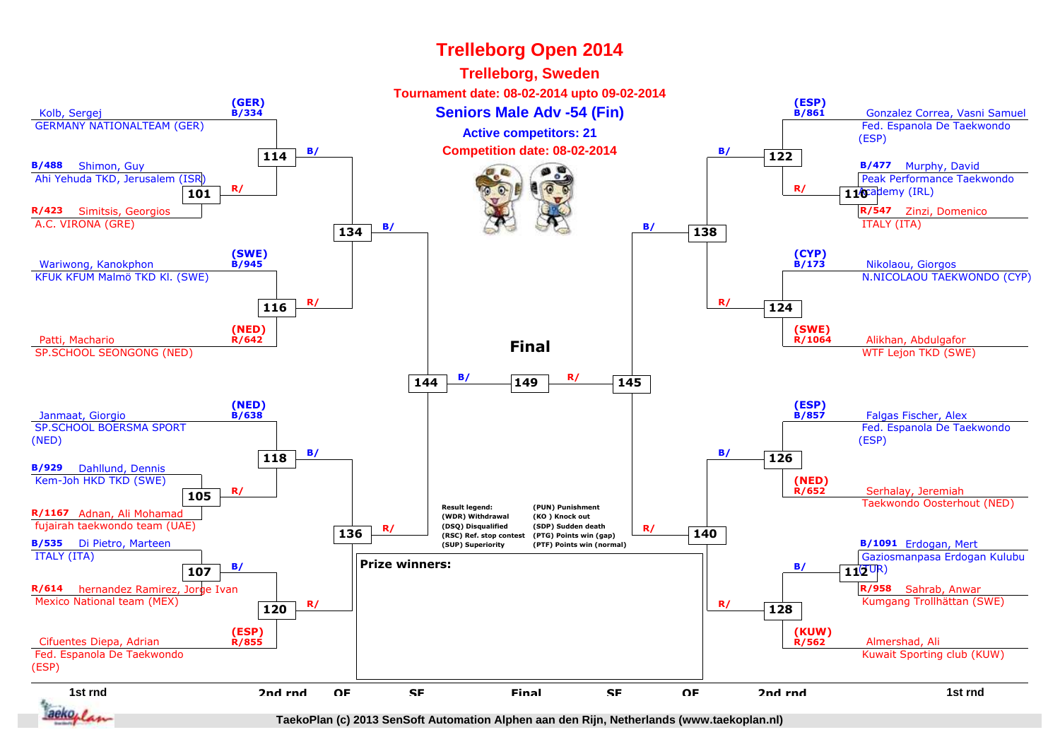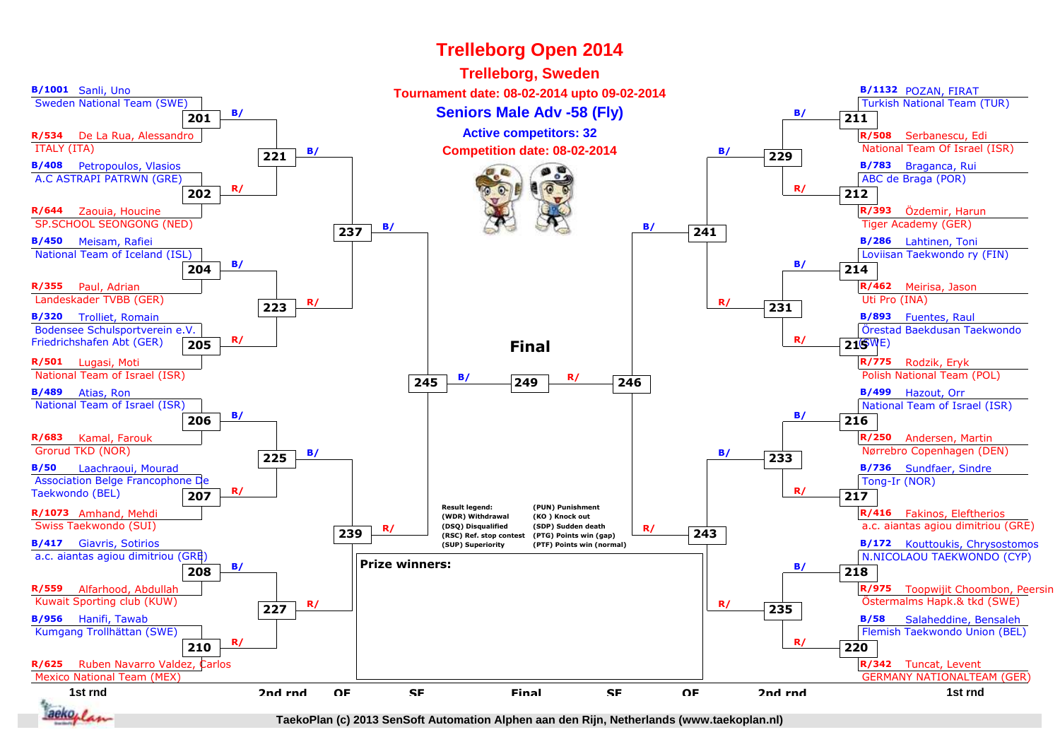

# **Trelleborg Open 2014**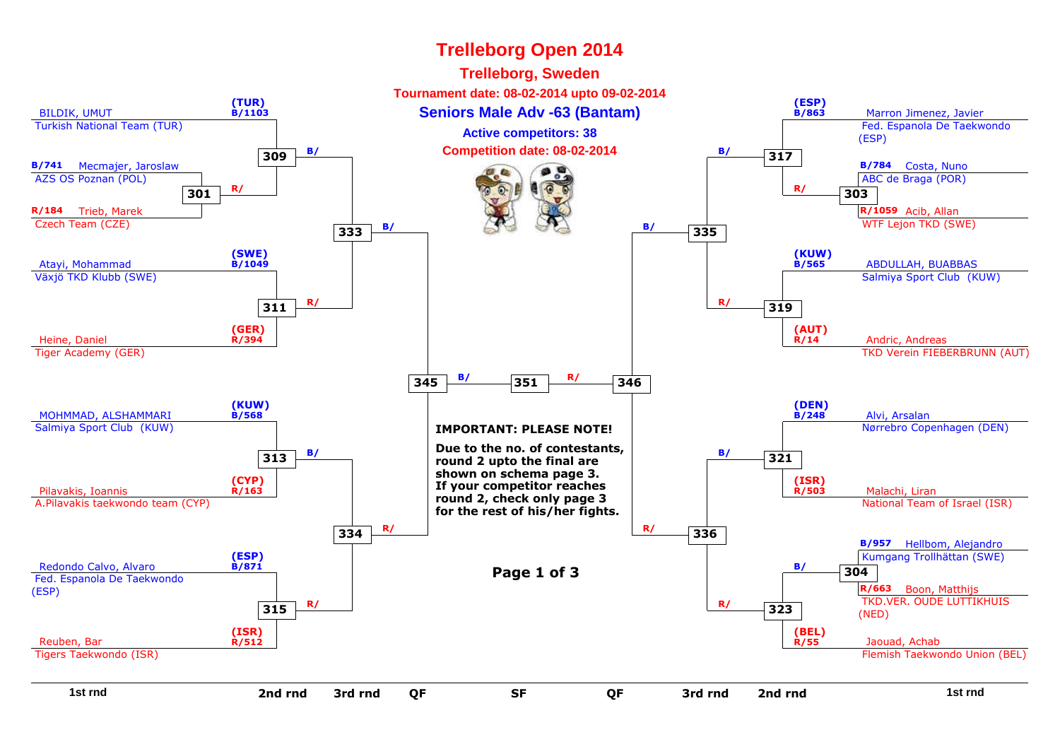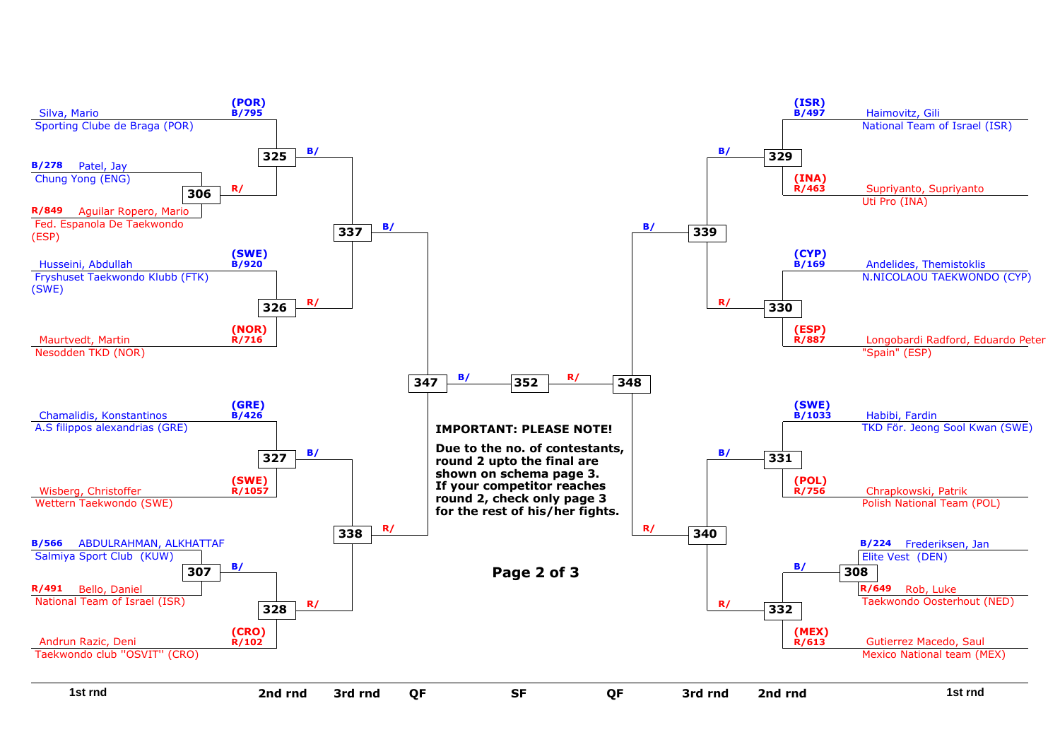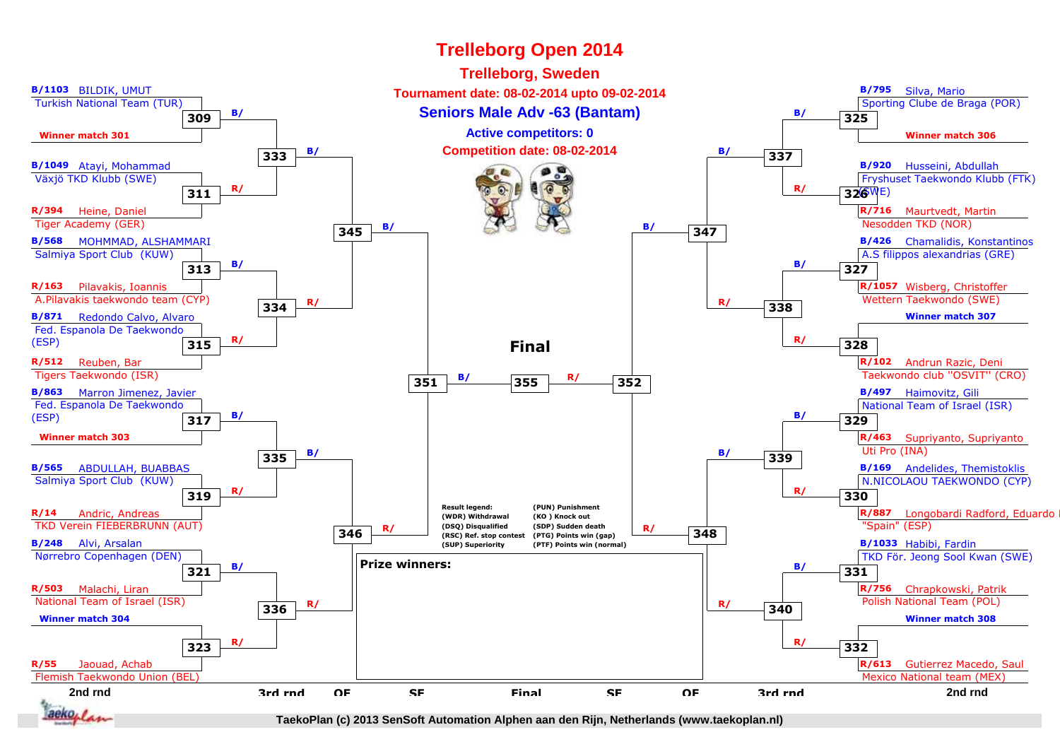

# **Trelleborg Open 2014**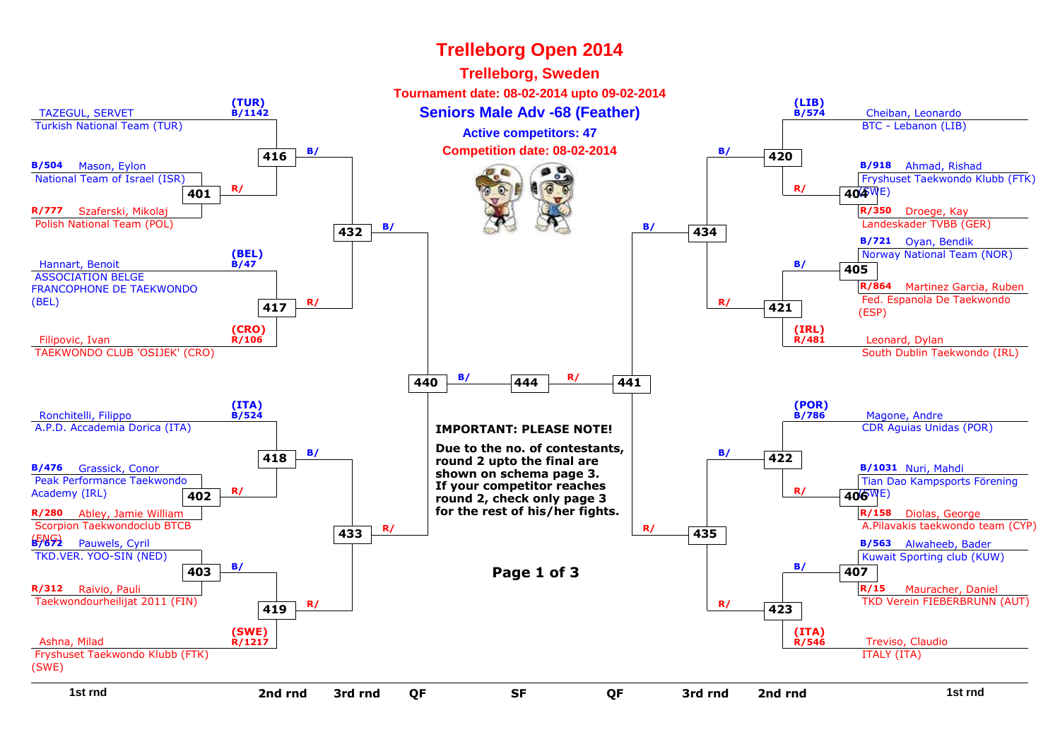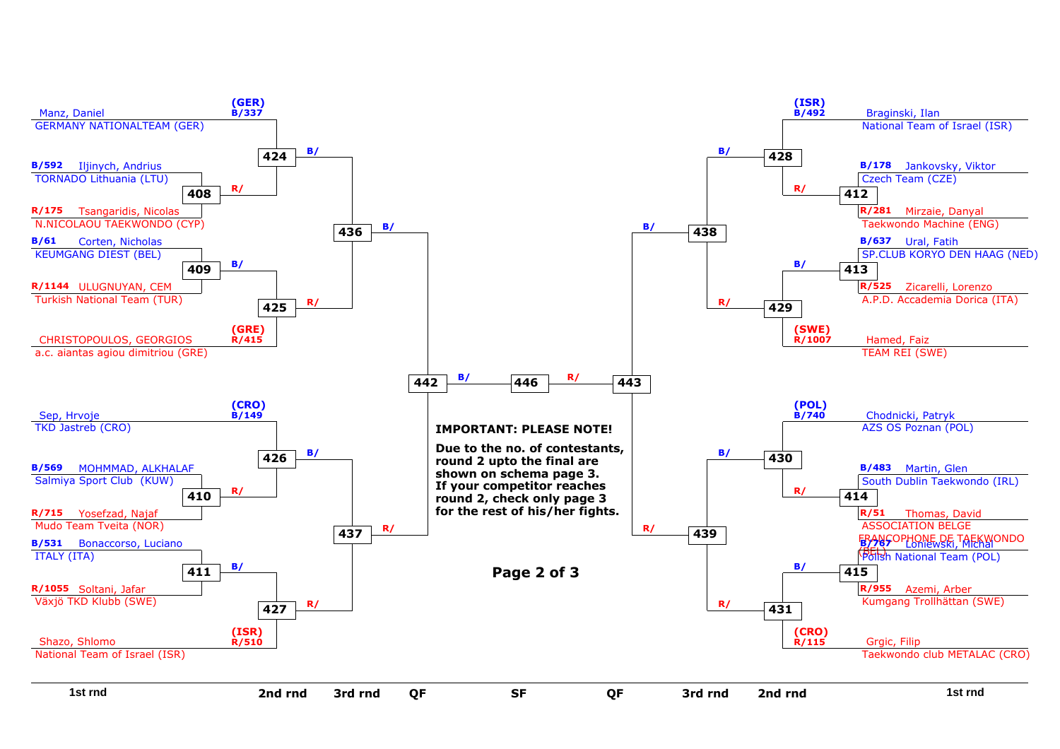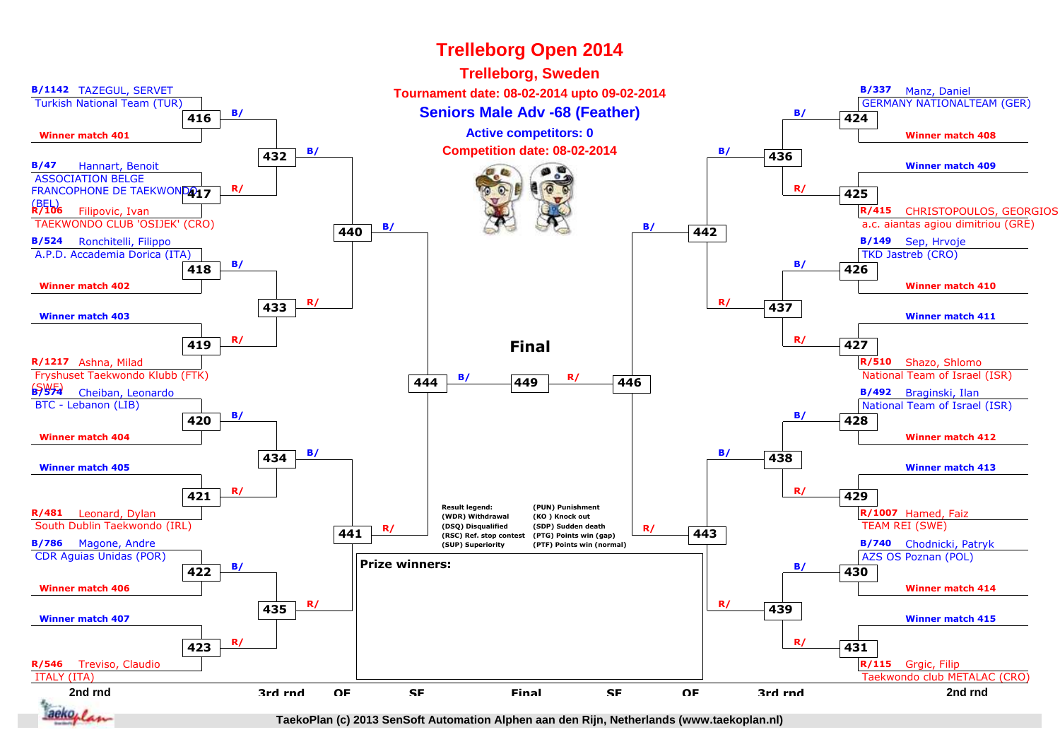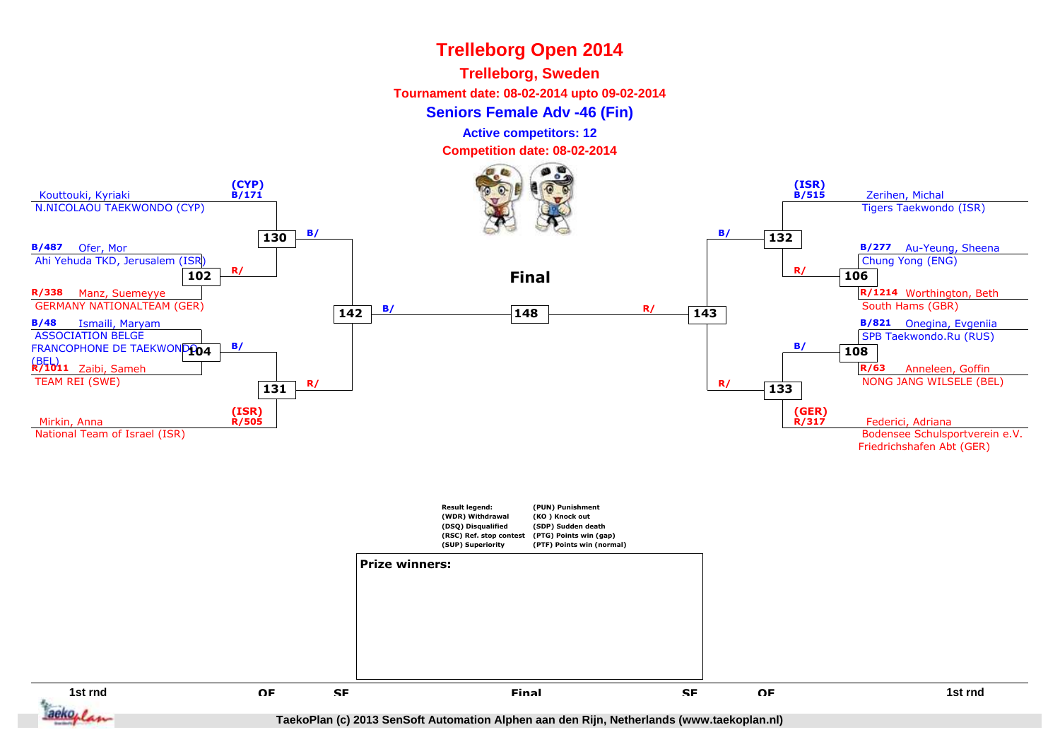## **Trelleborg, Sweden**

**Tournament date: 08-02-2014 upto 09-02-2014**

**Seniors Female Adv -46 (Fin)**

**Active competitors: 12**

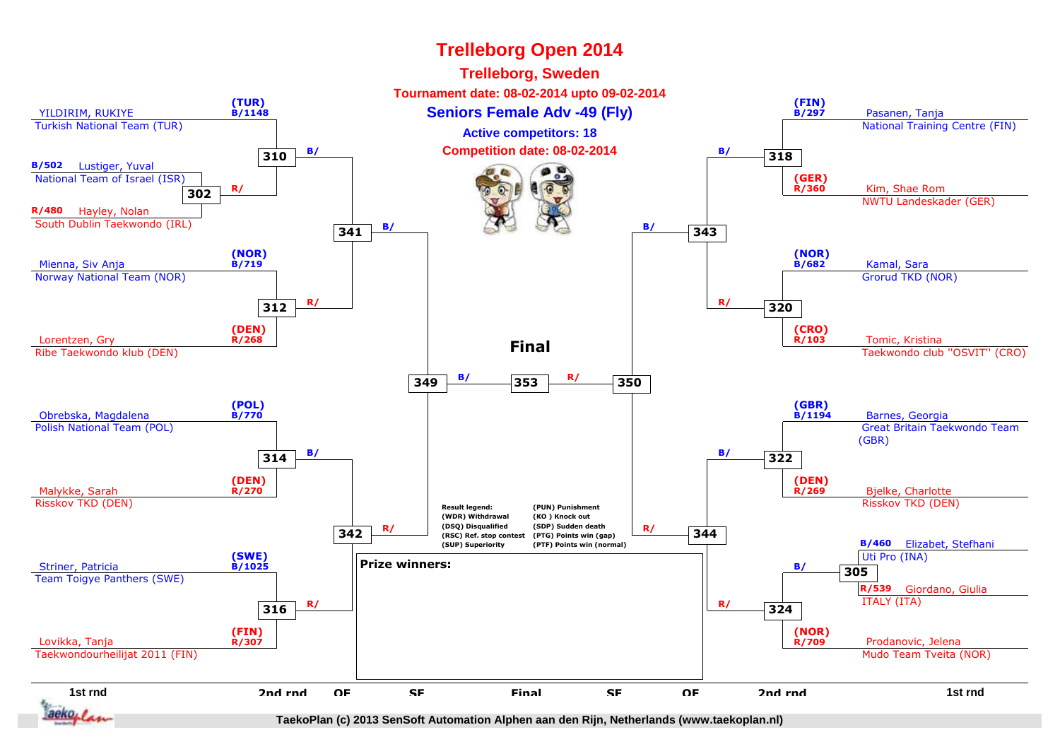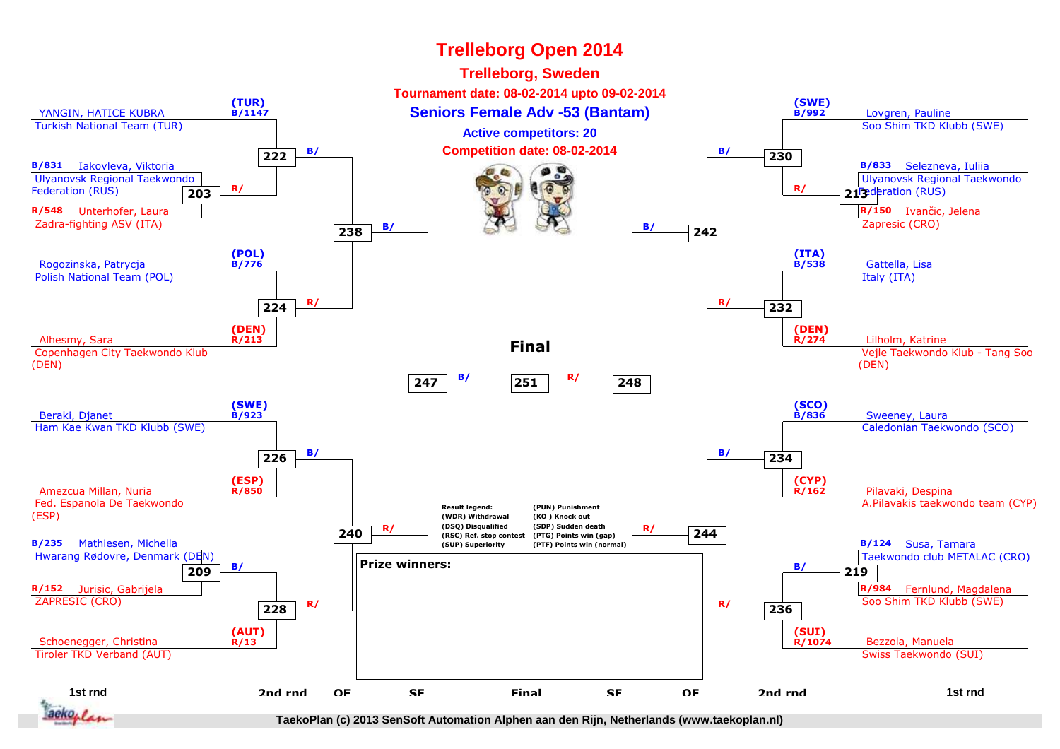#### **Trelleborg Open 2014Trelleborg, Sweden Tournament date: 08-02-2014 upto 09-02-2014(TUR) B/1147(SWE) B/992**YANGIN, HATICE KUBRA**Conserversion Seniors Female Adv -53 (Bantam)** And Allen Conserversion Conserversion Conserversion Conserversion Conserversion Conserversion Conserversion Conserversion Conserversion Conserversion Conserversion Conservers Turkish National Team (TUR) Soo Shim TKD Klubb (SWE)**Active competitors: 20B/ Competition date: 08-02-2014 B/ B/ B/ 230 222B/831** Iakovleva, Viktoria**B/833** Selezneva, Iuliia Ulyanovsk Regional Taekwondo Ulyanovsk Regional Taekwondo **R/** Federation (RUS)**R/ 213** *R* **C RUS 203R/548** Unterhofer, Laura**R/150** Ivančic, Jelena Zapresic (CRO) Zadra-fighting ASV (ITA)**B**/ **a a b**/**a b**/**a b**/**a b**/**a 242 238(POL) B/776(ITA) B/538**Rogozinska, Patrycja Gattella, Lisa Polish National Team (POL) Italy (ITA) **R/ <sup>232</sup> R/ 224(DEN)(DEN)**Alhesmy, Sara **R/213**3 R/274 Lilholm, Katrine<br> **Lilholm, Katrine R/274 Lilholm, Katrine R/274** Lilholm, Katrine **R/274Final** Copenhagen City Taekwondo Klub Vejle Taekwondo Klub - Tang Soo(DEN)(DEN) **B/ <sup>248</sup> R/ <sup>251</sup> 247(SWE)(SCO)**Beraki, Djanet **B/923**3. The contract of the contract of the contract of the contract of the contract of the contract of the contract of the contract of the contract of the contract of the contract of the contract of the contract of the contrac **B/836** Ham Kae Kwan TKD Klubb (SWE) Caledonian Taekwondo (SCO) **B/ <sup>234</sup> B/ 226(ESP)(CYP)**Amezcua Millan, Nuria **R/850** Pilavaki, Despina **R/162** Fed. Espanola De Taekwondo A.Pilavakis taekwondo team (CYP)**Result legend:(PUN) Punishment**(ESP)**(KO ) Knock out (WDR) Withdrawal (DSQ) Disqualified (SDP) Sudden deathR/** (DSQ) Disqualitied (SDP) Sudden death<br>
(RSC) Ref. stop contest (PTG) Points win (gap)<br>
(SIIP) Suneriority (PTF) Points win (normal) **240 (RSC) Ref. stop contest (PTG) Points win (gap)B/235** Mathiesen, Michella**(SUP) SuperiorityB/124** Susa, Tamara **(PTF) Points win (normal)** Hwarang Rødovre, Denmark (DEN) Taekwondo club METALAC (CRO)**Prize winners: B/ 219 B/ 209R/152** Jurisic, Gabrijela**R/984** Fernlund, Magdalena ZAPRESIC (CRO) Soo Shim TKD Klubb (SWE) **R/ <sup>236</sup> R/ 228(AUT)(SUI)**Schoenegger, Christina**R/13**en 1988 de la contradición de la contradición de la contradición de la contradición de la contradición de la c<br>Entre de la contradición de la contradición de la contradición de la contradición de la contradición de la con **R/1074** Tiroler TKD Verband (AUT) Swiss Taekwondo (SUI)**1st rnd2nd rndQFSFFinal**d a that the off state of the set of the off the top of the term of the term of the term of the term of the term o<br>The term of the set of the term of the term of the term of the term of the set of the term of the term of t d OF SF Final SF OF 2nd rnd<br> **2nd rnd** F SF Final SF OF F Final SF аекол